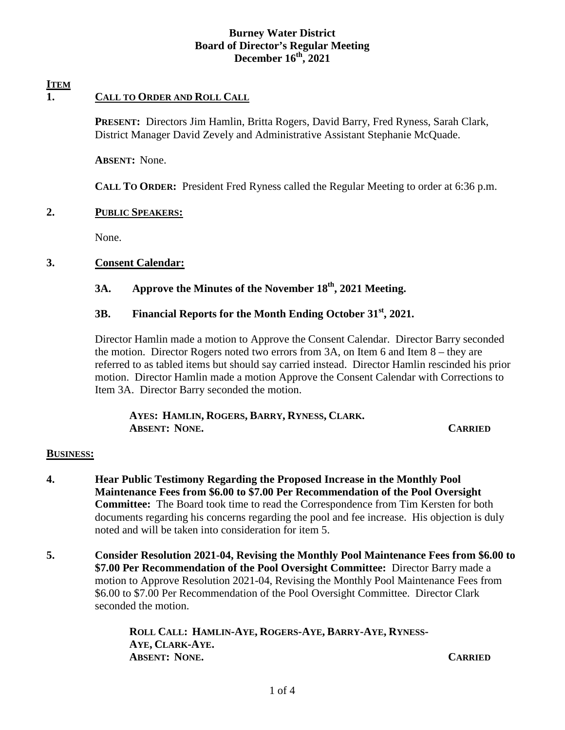# **Burney Water District Board of Director's Regular Meeting December 16th, 2021**

#### **ITEM 1. CALL TO ORDER AND ROLL CALL**

**PRESENT:** Directors Jim Hamlin, Britta Rogers, David Barry, Fred Ryness, Sarah Clark, District Manager David Zevely and Administrative Assistant Stephanie McQuade.

**ABSENT:** None.

**CALL TO ORDER:** President Fred Ryness called the Regular Meeting to order at 6:36 p.m.

# **2. PUBLIC SPEAKERS:**

None.

# **3. Consent Calendar:**

# **3A. Approve the Minutes of the November 18th, 2021 Meeting.**

## **3B. Financial Reports for the Month Ending October 31st, 2021.**

Director Hamlin made a motion to Approve the Consent Calendar. Director Barry seconded the motion. Director Rogers noted two errors from 3A, on Item 6 and Item 8 – they are referred to as tabled items but should say carried instead. Director Hamlin rescinded his prior motion. Director Hamlin made a motion Approve the Consent Calendar with Corrections to Item 3A. Director Barry seconded the motion.

 **AYES: HAMLIN, ROGERS, BARRY, RYNESS, CLARK. ABSENT: NONE. CARRIED**

### **BUSINESS:**

- **4. Hear Public Testimony Regarding the Proposed Increase in the Monthly Pool Maintenance Fees from \$6.00 to \$7.00 Per Recommendation of the Pool Oversight Committee:** The Board took time to read the Correspondence from Tim Kersten for both documents regarding his concerns regarding the pool and fee increase. His objection is duly noted and will be taken into consideration for item 5.
- **5. Consider Resolution 2021-04, Revising the Monthly Pool Maintenance Fees from \$6.00 to \$7.00 Per Recommendation of the Pool Oversight Committee:** Director Barry made a motion to Approve Resolution 2021-04, Revising the Monthly Pool Maintenance Fees from \$6.00 to \$7.00 Per Recommendation of the Pool Oversight Committee. Director Clark seconded the motion.

 **ROLL CALL: HAMLIN-AYE, ROGERS-AYE, BARRY-AYE, RYNESS-AYE, CLARK-AYE. ABSENT: NONE. CARRIED**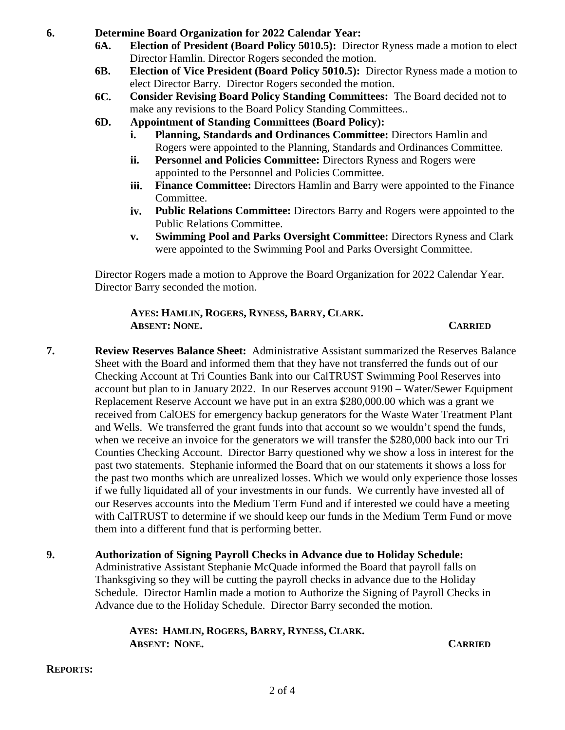**6. Determine Board Organization for 2022 Calendar Year:** 

- **6A. Election of President (Board Policy 5010.5):** Director Ryness made a motion to elect Director Hamlin. Director Rogers seconded the motion.
- **6B. Election of Vice President (Board Policy 5010.5):** Director Ryness made a motion to elect Director Barry. Director Rogers seconded the motion.
- **6C. Consider Revising Board Policy Standing Committees:** The Board decided not to make any revisions to the Board Policy Standing Committees..
- **6D. Appointment of Standing Committees (Board Policy):** 
	- **i. Planning, Standards and Ordinances Committee:** Directors Hamlin and Rogers were appointed to the Planning, Standards and Ordinances Committee.
	- **ii.** Personnel and Policies Committee: Directors Ryness and Rogers were appointed to the Personnel and Policies Committee.
	- **iii.** Finance Committee: Directors Hamlin and Barry were appointed to the Finance Committee.
	- **iv. Public Relations Committee:** Directors Barry and Rogers were appointed to the Public Relations Committee.
	- **v. Swimming Pool and Parks Oversight Committee:** Directors Ryness and Clark were appointed to the Swimming Pool and Parks Oversight Committee.

Director Rogers made a motion to Approve the Board Organization for 2022 Calendar Year. Director Barry seconded the motion.

## **AYES: HAMLIN, ROGERS, RYNESS, BARRY, CLARK. ABSENT: NONE. CARRIED**

- **7. Review Reserves Balance Sheet:** Administrative Assistant summarized the Reserves Balance Sheet with the Board and informed them that they have not transferred the funds out of our Checking Account at Tri Counties Bank into our CalTRUST Swimming Pool Reserves into account but plan to in January 2022. In our Reserves account 9190 – Water/Sewer Equipment Replacement Reserve Account we have put in an extra \$280,000.00 which was a grant we received from CalOES for emergency backup generators for the Waste Water Treatment Plant and Wells. We transferred the grant funds into that account so we wouldn't spend the funds, when we receive an invoice for the generators we will transfer the \$280,000 back into our Tri Counties Checking Account. Director Barry questioned why we show a loss in interest for the past two statements. Stephanie informed the Board that on our statements it shows a loss for the past two months which are unrealized losses. Which we would only experience those losses if we fully liquidated all of your investments in our funds. We currently have invested all of our Reserves accounts into the Medium Term Fund and if interested we could have a meeting with CalTRUST to determine if we should keep our funds in the Medium Term Fund or move them into a different fund that is performing better.
- **9. Authorization of Signing Payroll Checks in Advance due to Holiday Schedule:**  Administrative Assistant Stephanie McQuade informed the Board that payroll falls on Thanksgiving so they will be cutting the payroll checks in advance due to the Holiday Schedule. Director Hamlin made a motion to Authorize the Signing of Payroll Checks in Advance due to the Holiday Schedule. Director Barry seconded the motion.

 **AYES: HAMLIN, ROGERS, BARRY, RYNESS, CLARK. ABSENT: NONE. CARRIED**

**REPORTS:**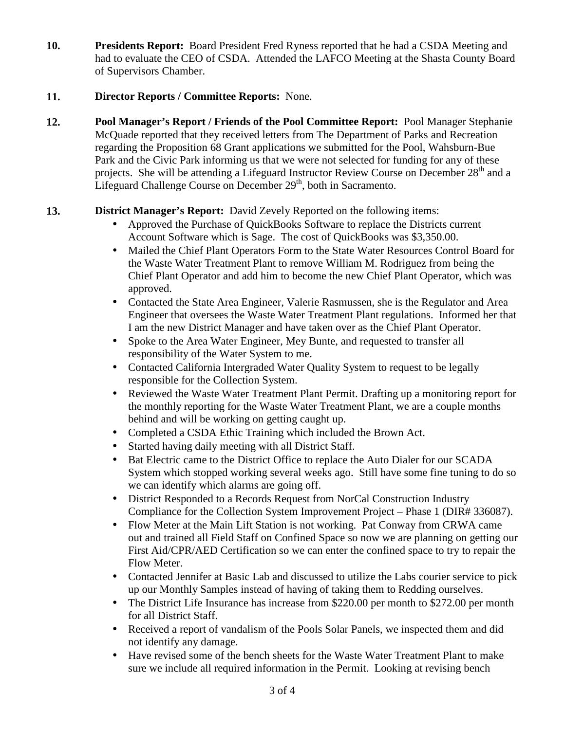**10. Presidents Report:** Board President Fred Ryness reported that he had a CSDA Meeting and had to evaluate the CEO of CSDA. Attended the LAFCO Meeting at the Shasta County Board of Supervisors Chamber.

# **11. Director Reports / Committee Reports:** None.

**12. Pool Manager's Report / Friends of the Pool Committee Report:** Pool Manager Stephanie McQuade reported that they received letters from The Department of Parks and Recreation regarding the Proposition 68 Grant applications we submitted for the Pool, Wahsburn-Bue Park and the Civic Park informing us that we were not selected for funding for any of these projects. She will be attending a Lifeguard Instructor Review Course on December 28<sup>th</sup> and a Lifeguard Challenge Course on December  $29<sup>th</sup>$ , both in Sacramento.

# **13. District Manager's Report:** David Zevely Reported on the following items:

- Approved the Purchase of QuickBooks Software to replace the Districts current Account Software which is Sage. The cost of QuickBooks was \$3,350.00.
- Mailed the Chief Plant Operators Form to the State Water Resources Control Board for the Waste Water Treatment Plant to remove William M. Rodriguez from being the Chief Plant Operator and add him to become the new Chief Plant Operator, which was approved.
- Contacted the State Area Engineer, Valerie Rasmussen, she is the Regulator and Area Engineer that oversees the Waste Water Treatment Plant regulations. Informed her that I am the new District Manager and have taken over as the Chief Plant Operator.
- Spoke to the Area Water Engineer, Mey Bunte, and requested to transfer all responsibility of the Water System to me.
- Contacted California Intergraded Water Quality System to request to be legally responsible for the Collection System.
- Reviewed the Waste Water Treatment Plant Permit. Drafting up a monitoring report for the monthly reporting for the Waste Water Treatment Plant, we are a couple months behind and will be working on getting caught up.
- Completed a CSDA Ethic Training which included the Brown Act.
- Started having daily meeting with all District Staff.
- Bat Electric came to the District Office to replace the Auto Dialer for our SCADA System which stopped working several weeks ago. Still have some fine tuning to do so we can identify which alarms are going off.
- District Responded to a Records Request from NorCal Construction Industry Compliance for the Collection System Improvement Project – Phase 1 (DIR# 336087).
- Flow Meter at the Main Lift Station is not working. Pat Conway from CRWA came out and trained all Field Staff on Confined Space so now we are planning on getting our First Aid/CPR/AED Certification so we can enter the confined space to try to repair the Flow Meter.
- Contacted Jennifer at Basic Lab and discussed to utilize the Labs courier service to pick up our Monthly Samples instead of having of taking them to Redding ourselves.
- The District Life Insurance has increase from \$220.00 per month to \$272.00 per month for all District Staff.
- Received a report of vandalism of the Pools Solar Panels, we inspected them and did not identify any damage.
- Have revised some of the bench sheets for the Waste Water Treatment Plant to make sure we include all required information in the Permit. Looking at revising bench